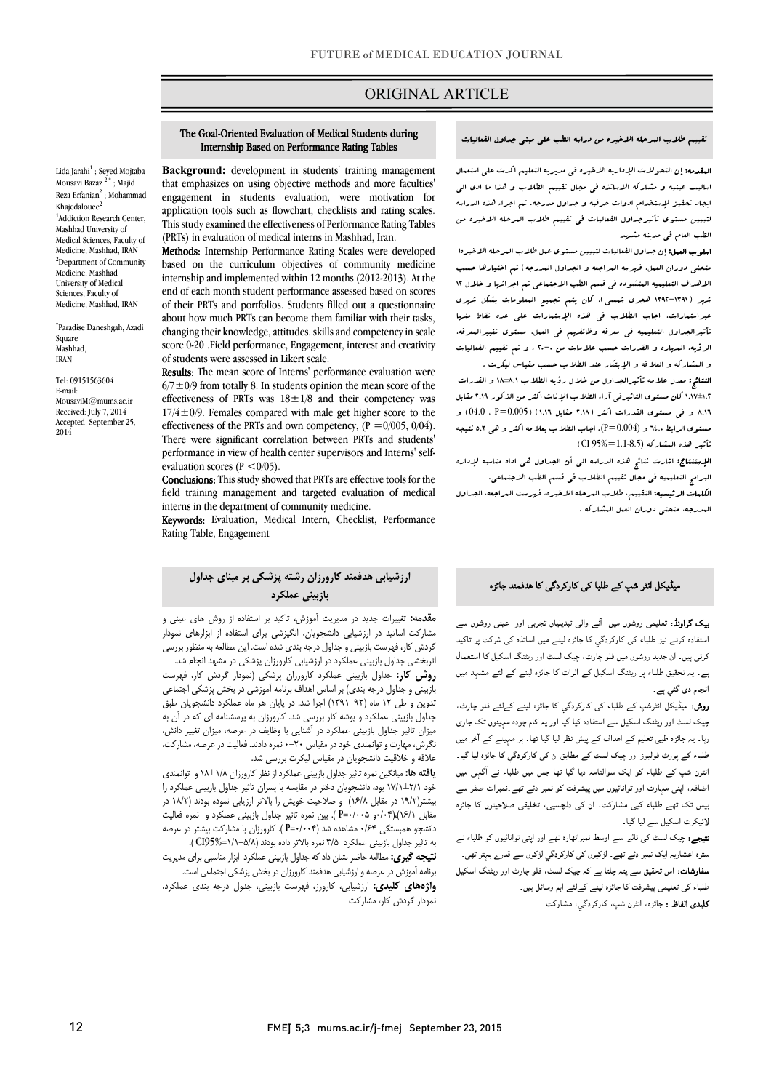## ORIGINAL ARTICLE

### تقییم طلاب المرحله الاخیره من دراسه الطب علی مبنی جداول الفعالیات

 المقدمه: إن التحولات الإداریه الاخیره فی مدیریه التعلیم اکدت علی استعمال اسالیب عینیه و مشارکه الاساتذه فی مجال تقییم الطلاب و هذا ما ادي الی .<br>لتبیین مستوی تأثیرجداول الفعالیات فی تقییم طلاب العرحله الاخیره من

ایجاد تحفیز لإستخدام ادوات حرفیه و جداول مدرجه. تم اجراء هذه الدراسه

 اسلوب العمل: إن جداول الفعالیات لتبیین مستوي عمل طلاب المرحله الاخیره( منحنی دوران العمل، فهرسه المراجعه و الجداول المدرجه) تم اختیارها حسب الاهداف التعلیمیه المنشوده فی قسم الطب الاجتماعی تم اجرائها و خلال 12 شهر (1392-1391 هجري شمسی). کان یتم تجمیع المعلومات بشکل شهري تأثیرالجداول التعلیمیه فی معرفه وظائفهم فی العمل، مستوي تغییرالمعرفه، الرؤیه، المهاره و القدرات حسب علامات من 20-0 . و تم تقییم الفعالیات و المشارکه و العلاقه و الإبتکار عند الطلاب حسب مقیاس لیکرت . النتائج: معدل علامه تأثیرالجداول من خلال رؤیه الطلاب 18±8,1 و القدرات 1,17±1,2 کان مستوي التاثیرفی آراء الطلاب الإناث اکثر من الذکور 2,19 مقابل 8,16 و فی مستوي القدرات اکثر (2,18 مقابل 1,16) (0.005=P ، 04.0 (و

عبراستمارات، اجاب الطلاب فی هذه الإستمارات علی عده نقاط منها

 الإستنتاج: اشارت نتائج هذه الدراسه الی أن الجداول هی اداه مناسبه لإداره البرامج التعلیمیه فی مجال تقییم الطلاب فی قسم الطب الاجتماعی. الکلمات الرئیسیه: التقییم، طلاب المرحله الاخیره، فهرست المراجعه، الجداول

مستوي الرابط 64,0 و (0.004=P(. اجاب الطلاب بعلامه اکثر و هی 5,3 نتیجه

Ī

الطب العام فی مدینه مشهد

و - مع :<br>تأثیر هذه البشبارکه (1.1-8.5=%CI 95% CI

المدرجه، منحنی دوران العمل المشارکه .

Lida Jarahi<sup>1</sup>; Seyed Mojtaba Mousavi Bazaz 2,\* ; Majid Reza Erfanian<sup>2</sup>; Mohammad Khajedalouee $^2$ <sup>1</sup>Addiction Research Center, Mashhad University of Medical Sciences, Faculty of Medicine, Mashhad, IRAN <sup>2</sup>Department of Community Medicine, Mashhad University of Medical Sciences, Faculty of Medicine, Mashhad, IRAN

\* Paradise Daneshgah, Azadi Square Mashhad, IRAN

Tel: 09151563604 E-mail: MousaviM@mums.ac.ir Received: July 7, 2014 Accepted: September 25, 2014

 Background: development in students' training management engagement in students evaluation, were motivation for application tools such as flowchart, checklists and rating scales. (PRTs) in evaluation of medical interns in Mashhad, Iran. that emphasizes on using objective methods and more faculties' This study examined the effectiveness of Performance Rating Tables

The Goal-Oriented Evaluation of Medical Students during

Internship Based on Performance Rating Tables

i

Methods: Internship Performance Rating Scales were developed based on the curriculum objectives of community medicine end of each month student performance assessed based on scores of their PRTs and portfolios. Students filled out a questionnaire changing their knowledge, attitudes, skills and competency in scale score 0-20 .Field performance, Engagement, interest and creativity internship and implemented within 12 months (2012-2013). At the about how much PRTs can become them familiar with their tasks, of students were assessed in Likert scale.

of students were assessed in likert scale.<br>**Results:** The mean score of Interns' performance evaluation were  $6/7 \pm 0/9$  from totally 8. In students opinion the mean score of the effectiveness of PRTs was  $18 \pm 1/8$  and their competency was effectiveness of the PRTs and own competency,  $(P = 0/005, 0/04)$ . There were significant correlation between PRTs and students' performance in view of health center supervisors and Interns' self- $17/4 \pm 0/9$ . Females compared with male get higher score to the evaluation scores ( $P \le 0/05$ ).

**Conclusions:** This study showed that PRTs are effective tools for the field training management and targeted evaluation of medical interns in the department of community medicine.

meens in the department of community medicine.<br>**Keywords:** Evaluation, Medical Intern, Checklist, Performance Rating Table, Engagement

#### میڈیکل انٹر شپ کے طلبا کی کارکردگی کا ھدفمند جائزہ ارزشیابی هدفمند کارورزان رشته پزشکی بر مبناي جداول بازبینی عملکرد

**یپک گراونڈ:** تعلیمی روشوں میں  $\,$ نے والی تبدیلیاں تجربی اور عینی روشوں سے استفادہ کرنے نیز طلباء کی کارکردگي کا جائزہ لینے میں اساتذہ کی شرکت پر تاکید کرتی ہیں۔ ان جدید روشوں میں فلو چارٹ، چیک لسٹ اور ریٹنگ اسکیل کا استعمال ے ـ یہ تحقیق طلباء پر ریٹنگ اسکیل کے اثرات کا جائزہ لینے کے لئے مشہد میں<br>۔ ۔ انجام دی گئی ہے۔

۔<br>**روش:** میڈیکل انٹرشپ کے طلباء کی کارکردگیِ کا جائزہ لینے کےلئے فلو چارٹ، ۔<br>چیک لسٹ اور ریٹنگ اسکیل سے استفادہ کیا گیا اور یہ کام چودہ مہینوں تک جاری رہا۔ یہ جائزہ طبی تعلیم کے اہداف کے پیش نظر لیا گیا تھا۔ ہر مہینے کے آخر میں طلباء کے پورٹ فولیوز اور چیک لسٹ کے مطابق ان کی کارکردگی کا جائزہ لیا گیا۔ نٹرن شپ کے طلباء کو ایک سوالنامہ دیا گیا تھا جس میں طلباء نے آگہی میں اضافہ، اپنی مہارت اور توانائیوں میں پیشرفت کو نمبر دئے تھے۔نمبرات صفر سے بیس تک تھے۔طلباء کبی مشارکت، ان کی دلچسپی، تخلیقی ص<mark>لا</mark>حیتوں کا جائزہ<br>۔ ۔<br>لائیکرٹ اسکیل سے لیا گیا۔

و <sub>۔</sub> روے مسموم ہے ۔<br>**تیجے:** چیک لسٹ کی تاثیر سے اوسط نمبراٹھارہ تھے اور اپنی توانائیوں کو طلباء نے ے۔<br>سترہ اعشاریہ ایک نمبر دئے تھے۔ لڑکیوں کی کارکردگی لڑکوں سے قدرے بہتر تھی۔ **سفارشات:** اس تحقیق سے پتہ چلتا ہے کہ چیک لسٹ، فلو چارٹ اور ریٹنگ اسکیل طلباء کی تعلیمی پیشرفت کا جائزہ لینے کےلئے اہم وسائل ہیں۔ **کلیدی الفاظ :** جائزہ، انٹرن شپ، کارکردگي، مشارکت۔

.<br>**مقدمه:** تغییرات جدید در مدیریت آموزش، تاکید بر استفاده از روش های عینی و ر<br>گردش کار، فهرست بازبینی و جداول درجه بندی شده است. این مطالعه به منظور بررسی مشارکت اساتید در ارزشیابی دانشجویان، انگیزشی براي استفاده از ابزارهاي نمودار

 اثربخشی جداول بازبینی عملکرد در ارزشیابی کارورزان پزشکی در مشهد انجام شد. **روش کار:** جداول بازبینی عملکرد کارورزان پزشکی (نمودار گردش کار، فهرست<br>. تدوین و طی 12 ماه (1391-92) اجرا شد. در پایان هر ماه عملکرد دانشجویان طبق جداول بازبینی عملکرد و پوشه کار بررسی شد. کارورزان به پرسشنامه اي که در آن به میزان تاثیر جداول بازبینی عملکرد در آشنایی با وظایف در عرصه، میزان تغییر دانش، علاقه و خلاقیت دانشجویان در مقیاس لیکرت بررسی شد. بازبینی و جداول درجه بندي) بر اساس اهداف برنامه آموزشی در بخش پزشکی اجتماعی نگرش، مهارت و توانمندي خود در مقیاس 0-20 نمره دادند. فعالیت در عرصه، مشارکت،

 یافته ها: میانگین نمره تاثیر جداول بازبینی عملکرد از نظر کارورزان 18±1/8 و توانمندي خود 17/1±2/1 بود، دانشجویان دختر در مقایسه با پسران تاثیر جداول بازبینی عملکرد را ...<br>مقابل ۱۶/۱)،(۱۶۴-و ۵-۰۰+=P ). بین نمره تاثیر جداول بازبینی عملکرد و نمره فعالیت دانشجو همبستگی ۰/۶۴ مشاهده شد (P=۰/۰۰۴ ). کارورزان با مشارکت بیشتر در عرصه به تاثیر جداول بازبینی عملکرد 3/5 نمره بالاتر داده بودند (1/1-5/8=95%CI( . بیشتر(19/2 در مقابل 16/8) و صلاحیت خویش را بالاتر ارزیابی نموده بودند (18/2 در

 برنامهآموزش درعرصهو ارزشیابی هدفمندکارورزان در بخش پزشکی اجتماعی است. واژههاي کلیدي: ارزشیابی، کارورز، فهرست بازبینی، جدول درجه بندي عملکرد، نتیجه گیري: مطالعه حاضر نشان دادکه جداول بازبینی عملکرد ابزار مناسبی براي مدیریت

نمودار گردش کار، مشارکت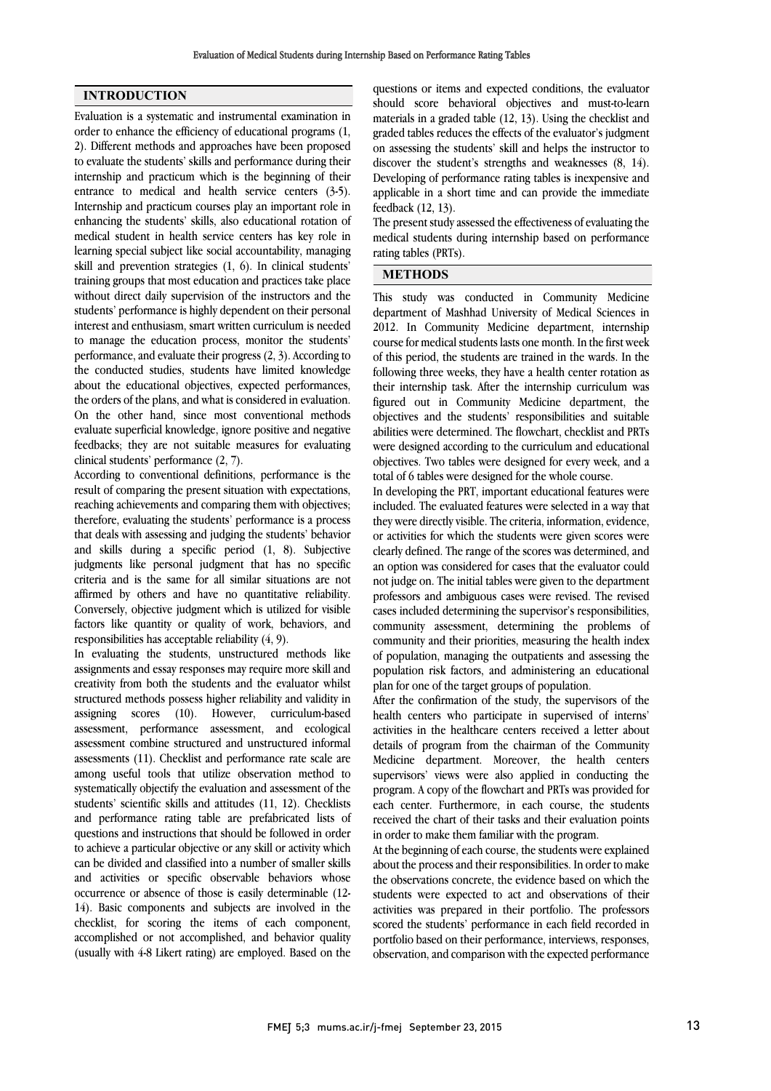### INTRODUCTION

Evaluation is a systematic and instrumental examination in order to enhance the efficiency of educational programs (1, 2). Different methods and approaches have been proposed to evaluate the students' skills and performance during their internship and practicum which is the beginning of their entrance to medical and health service centers (3-5). Internship and practicum courses play an important role in enhancing the students' skills, also educational rotation of medical student in health service centers has key role in learning special subject like social accountability, managing skill and prevention strategies (1, 6). In clinical students' training groups that most education and practices take place without direct daily supervision of the instructors and the students' performance is highly dependent on their personal interest and enthusiasm, smart written curriculum is needed to manage the education process, monitor the students' performance, and evaluate their progress (2, 3). According to the conducted studies, students have limited knowledge about the educational objectives, expected performances, the orders of the plans, and what is considered in evaluation. On the other hand, since most conventional methods evaluate superficial knowledge, ignore positive and negative feedbacks; they are not suitable measures for evaluating clinical students' performance (2, 7).

According to conventional definitions, performance is the result of comparing the present situation with expectations, reaching achievements and comparing them with objectives; therefore, evaluating the students' performance is a process that deals with assessing and judging the students' behavior and skills during a specific period (1, 8). Subjective judgments like personal judgment that has no specific criteria and is the same for all similar situations are not affirmed by others and have no quantitative reliability. Conversely, objective judgment which is utilized for visible factors like quantity or quality of work, behaviors, and responsibilities has acceptable reliability (4, 9).

In evaluating the students, unstructured methods like assignments and essay responses may require more skill and creativity from both the students and the evaluator whilst structured methods possess higher reliability and validity in assigning scores (10). However, curriculum-based assessment, performance assessment, and ecological assessment combine structured and unstructured informal assessments (11). Checklist and performance rate scale are among useful tools that utilize observation method to systematically objectify the evaluation and assessment of the students' scientific skills and attitudes (11, 12). Checklists and performance rating table are prefabricated lists of questions and instructions that should be followed in order to achieve a particular objective or any skill or activity which can be divided and classified into a number of smaller skills and activities or specific observable behaviors whose occurrence or absence of those is easily determinable (12- 14). Basic components and subjects are involved in the checklist, for scoring the items of each component, accomplished or not accomplished, and behavior quality (usually with 4-8 Likert rating) are employed. Based on the

 questions or items and expected conditions, the evaluator should score behavioral objectives and must-to-learn materials in a graded table (12, 13). Using the checklist and graded tables reduces the effects of the evaluator's judgment discover the student's strengths and weaknesses (8, 14). Developing of performance rating tables is inexpensive and applicable in a short time and can provide the immediate feedback (12, 13). on assessing the students' skill and helps the instructor to

medical students during internship based on performance rating tables (PRTs). The present study assessed the effectiveness of evaluating the

# METHODS

j

 This study was conducted in Community Medicine department of Mashhad University of Medical Sciences in 2012. In Community Medicine department, internship course for medical students lasts one month. In the first week of this period, the students are trained in the wards. In the their internship task. After the internship curriculum was figured out in Community Medicine department, the objectives and the students' responsibilities and suitable abilities were determined. The flowchart, checklist and PRTs objectives. Two tables were designed for every week, and a total of 6 tables were designed for the whole course. following three weeks, they have a health center rotation as were designed according to the curriculum and educational

 In developing the PRT, important educational features were they were directly visible. The criteria, information, evidence, or activities for which the students were given scores were clearly defined. The range of the scores was determined, and an option was considered for cases that the evaluator could not judge on. The initial tables were given to the department cases included determining the supervisor's responsibilities, community assessment, determining the problems of community and their priorities, measuring the health index of population, managing the outpatients and assessing the plan for one of the target groups of population. included. The evaluated features were selected in a way that professors and ambiguous cases were revised. The revised population risk factors, and administering an educational

 After the confirmation of the study, the supervisors of the health centers who participate in supervised of interns' activities in the healthcare centers received a letter about Medicine department. Moreover, the health centers supervisors' views were also applied in conducting the program. A copy of the flowchart and PRTs was provided for each center. Furthermore, in each course, the students in order to make them familiar with the program. details of program from the chairman of the Community received the chart of their tasks and their evaluation points

 At the beginning of each course, the students were explained about the process and their responsibilities. In order to make the observations concrete, the evidence based on which the activities was prepared in their portfolio. The professors scored the students' performance in each field recorded in portfolio based on their performance, interviews, responses, observation, and comparison with the expected performance students were expected to act and observations of their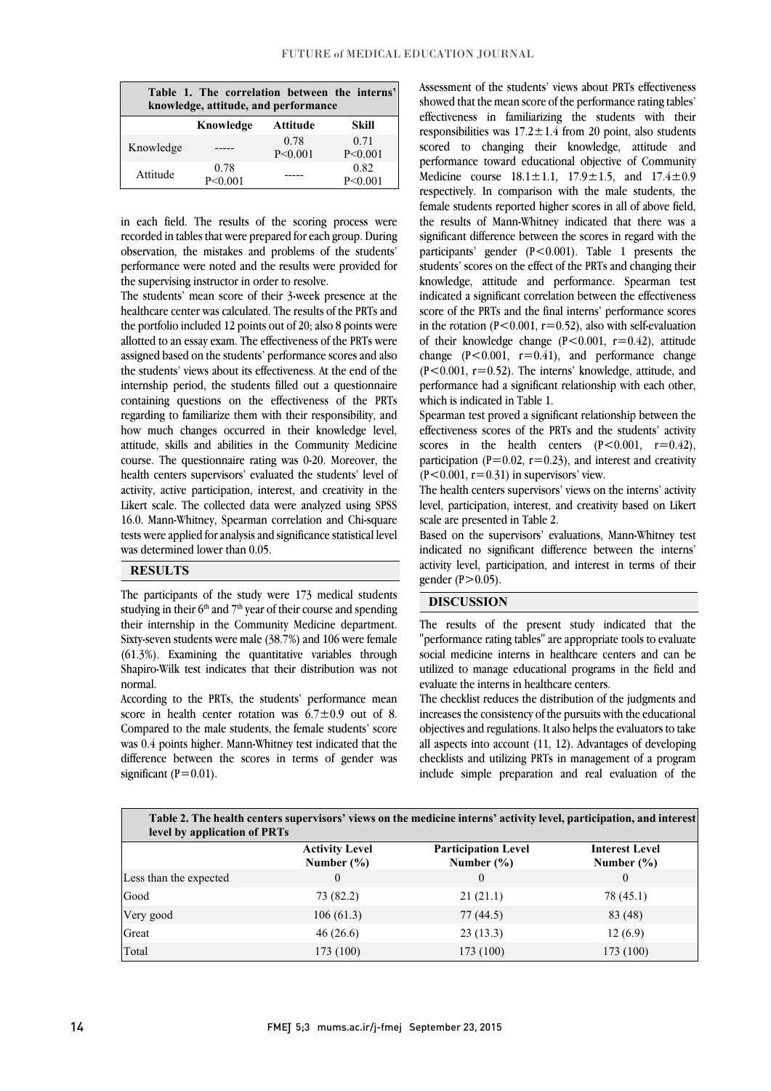| Table 1. The correlation between the interns'<br>knowledge, attitude, and performance |                   |                   |                   |  |
|---------------------------------------------------------------------------------------|-------------------|-------------------|-------------------|--|
|                                                                                       | Knowledge         | Attitude          | Skill             |  |
| Knowledge                                                                             |                   | 0.78<br>P < 0.001 | 0.71<br>P < 0.001 |  |
| Attitude                                                                              | 0.78<br>P < 0.001 |                   | 0.82<br>P < 0.001 |  |

 in each field. The results of the scoring process were recorded in tables that were prepared for each group. During observation, the mistakes and problems of the students' performance were noted and the results were provided for the supervising instructor in order to resolve.

 The students' mean score of their 3-week presence at the healthcare center was calculated. The results of the PRTs and the portfolio included 12 points out of 20; also 8 points were allotted to an essay exam. The effectiveness of the PRTs were assigned based on the students' performance scores and also the students' views about its effectiveness. At the end of the internship period, the students filled out a questionnaire containing questions on the effectiveness of the PRTs regarding to familiarize them with their responsibility, and attitude, skills and abilities in the Community Medicine course. The questionnaire rating was 0-20. Moreover, the health centers supervisors' evaluated the students' level of activity, active participation, interest, and creativity in the 16.0. Mann-Whitney, Spearman correlation and Chi-square tests were applied for analysis and significance statistical level assigned based on the students' performance scores and also how much changes occurred in their knowledge level, Likert scale. The collected data were analyzed using SPSS was determined lower than 0.05.

### **RESULTS**

 The participants of the study were 173 medical students studying in their  $6<sup>th</sup>$  and  $7<sup>th</sup>$  year of their course and spending their internship in the Community Medicine department. Sixty-seven students were male (38.7%) and 106 were female Shapiro-Wilk test indicates that their distribution was not (61.3%). Examining the quantitative variables through normal.

 According to the PRTs, the students' performance mean score in health center rotation was  $6.7 \pm 0.9$  out of 8. was 0.4 points higher. Mann-Whitney test indicated that the difference between the scores in terms of gender was Compared to the male students, the female students' score significant  $(P=0.01)$ .

 Assessment of the students' views about PRTs effectiveness showed that the mean score of the performance rating tables' effectiveness in familiarizing the students with their responsibilities was  $17.2 \pm 1.4$  from 20 point, also students performance toward educational objective of Community Medicine course  $18.1 \pm 1.1$ ,  $17.9 \pm 1.5$ , and  $17.4 \pm 0.9$  respectively. In comparison with the male students, the the results of Mann-Whitney indicated that there was a significant difference between the scores in regard with the participants' gender (P<0.001). Table 1 presents the students' scores on the effect of the PRTs and changing their knowledge, attitude and performance. Spearman test score of the PRTs and the final interns' performance scores in the rotation ( $P < 0.001$ ,  $r = 0.52$ ), also with self-evaluation of their knowledge change (P<0.001, r=0.42), attitude  $(P<0.001, r=0.52)$ . The interns' knowledge, attitude, and performance had a significant relationship with each other, scored to changing their knowledge, attitude and female students reported higher scores in all of above field, indicated a significant correlation between the effectiveness change  $(P<0.001, r=0.41)$ , and performance change which is indicated in Table 1.

 Spearman test proved a significant relationship between the scores in the health centers  $(P<0.001, r=0.42)$ , participation (P=0.02, r=0.23), and interest and creativity effectiveness scores of the PRTs and the students' activity  $(P<0.001, r=0.31)$  in supervisors' view.

 The health centers supervisors' views on the interns' activity level, participation, interest, and creativity based on Likert scale are presented in Table 2.

 Based on the supervisors' evaluations, Mann-Whitney test indicated no significant difference between the interns' activity level, participation, and interest in terms of their ֦ gender  $(P>0.05)$ .

### DISCUSSION

 The results of the present study indicated that the "performance rating tables" are appropriate tools to evaluate utilized to manage educational programs in the field and social medicine interns in healthcare centers and can be evaluate the interns in healthcare centers.

 The checklist reduces the distribution of the judgments and increases the consistency of the pursuits with the educational all aspects into account (11, 12). Advantages of developing checklists and utilizing PRTs in management of a program include simple preparation and real evaluation of the objectives and regulations. It also helps the evaluators to take

| Table 2. The health centers supervisors' views on the medicine interns' activity level, participation, and interest<br>level by application of PRTs |                                         |                                              |                                         |  |
|-----------------------------------------------------------------------------------------------------------------------------------------------------|-----------------------------------------|----------------------------------------------|-----------------------------------------|--|
|                                                                                                                                                     | <b>Activity Level</b><br>Number $(\% )$ | <b>Participation Level</b><br>Number $(\% )$ | <b>Interest Level</b><br>Number $(\% )$ |  |
| Less than the expected                                                                                                                              | $\Omega$                                | $\theta$                                     | $\Omega$                                |  |
| Good                                                                                                                                                | 73 (82.2)                               | 21(21.1)                                     | 78 (45.1)                               |  |
| Very good                                                                                                                                           | 106(61.3)                               | 77(44.5)                                     | 83 (48)                                 |  |
| Great                                                                                                                                               | 46(26.6)                                | 23(13.3)                                     | 12(6.9)                                 |  |
| Total                                                                                                                                               | 173 (100)                               | 173 (100)                                    | 173 (100)                               |  |